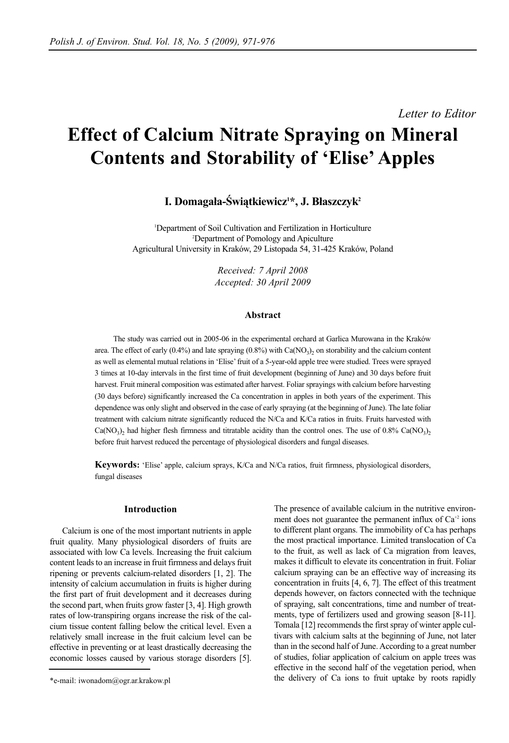*Letter to Editor*

# **Effect of Calcium Nitrate Spraying on Mineral Contents and Storability of 'Elise' Apples**

# I. Domagała-Światkiewicz<sup>1\*</sup>, J. Błaszczyk<sup>2</sup>

1 Department of Soil Cultivation and Fertilization in Horticulture 2 Department of Pomology and Apiculture Agricultural University in Kraków, 29 Listopada 54, 31-425 Kraków, Poland

> *Received: 7 April 2008 Accepted: 30 April 2009*

# **Abstract**

The study was carried out in 2005-06 in the experimental orchard at Garlica Murowana in the Kraków area. The effect of early  $(0.4\%)$  and late spraying  $(0.8\%)$  with Ca(NO<sub>3</sub>)<sub>2</sub> on storability and the calcium content as well as elemental mutual relations in 'Elise' fruit of a 5-year-old apple tree were studied. Trees were sprayed 3 times at 10-day intervals in the first time of fruit development (beginning of June) and 30 days before fruit harvest. Fruit mineral composition was estimated after harvest. Foliar sprayings with calcium before harvesting (30 days before) significantly increased the Ca concentration in apples in both years of the experiment. This dependence was only slight and observed in the case of early spraying (at the beginning of June). The late foliar treatment with calcium nitrate significantly reduced the N/Ca and K/Ca ratios in fruits. Fruits harvested with  $Ca(NO<sub>3</sub>)$  had higher flesh firmness and titratable acidity than the control ones. The use of 0.8% Ca(NO<sub>3</sub>)<sub>2</sub> before fruit harvest reduced the percentage of physiological disorders and fungal diseases.

**Keywords:** 'Elise' apple, calcium sprays, K/Ca and N/Ca ratios, fruit firmness, physiological disorders, fungal diseases

# **Introduction**

Calcium is one of the most important nutrients in apple fruit quality. Many physiological disorders of fruits are associated with low Ca levels. Increasing the fruit calcium content leads to an increase in fruit firmness and delays fruit ripening or prevents calcium-related disorders [1, 2]. The intensity of calcium accumulation in fruits is higher during the first part of fruit development and it decreases during the second part, when fruits grow faster [3, 4]. High growth rates of low-transpiring organs increase the risk of the calcium tissue content falling below the critical level. Even a relatively small increase in the fruit calcium level can be effective in preventing or at least drastically decreasing the economic losses caused by various storage disorders [5].

The presence of available calcium in the nutritive environment does not guarantee the permanent influx of  $Ca^{2}$  ions to different plant organs. The immobility of Ca has perhaps the most practical importance. Limited translocation of Ca to the fruit, as well as lack of Ca migration from leaves, makes it difficult to elevate its concentration in fruit. Foliar calcium spraying can be an effective way of increasing its concentration in fruits [4, 6, 7]. The effect of this treatment depends however, on factors connected with the technique of spraying, salt concentrations, time and number of treatments, type of fertilizers used and growing season [8-11]. Tomala [12] recommends the first spray of winter apple cultivars with calcium salts at the beginning of June, not later than in the second half of June. According to a great number of studies, foliar application of calcium on apple trees was effective in the second half of the vegetation period, when the delivery of Ca ions to fruit uptake by roots rapidly

<sup>\*</sup>e-mail: iwonadom@ogr.ar.krakow.pl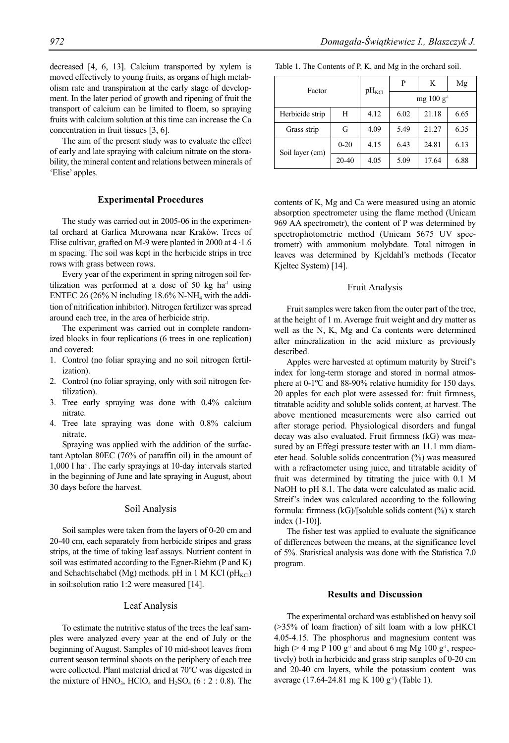decreased [4, 6, 13]. Calcium transported by xylem is moved effectively to young fruits, as organs of high metabolism rate and transpiration at the early stage of development. In the later period of growth and ripening of fruit the transport of calcium can be limited to floem, so spraying fruits with calcium solution at this time can increase the Ca concentration in fruit tissues [3, 6].

The aim of the present study was to evaluate the effect of early and late spraying with calcium nitrate on the storability, the mineral content and relations between minerals of 'Elise' apples.

#### **Experimental Procedures**

The study was carried out in 2005-06 in the experimental orchard at Garlica Murowana near Kraków. Trees of Elise cultivar, grafted on M-9 were planted in 2000 at  $4 \cdot 1.6$ m spacing. The soil was kept in the herbicide strips in tree rows with grass between rows.

Every year of the experiment in spring nitrogen soil fertilization was performed at a dose of 50 kg ha $^{-1}$  using ENTEC 26 (26% N including  $18.6\%$  N-NH<sub>4</sub> with the addition of nitrification inhibitor). Nitrogen fertilizer was spread around each tree, in the area of herbicide strip.

The experiment was carried out in complete randomized blocks in four replications (6 trees in one replication) and covered:

- 1. Control (no foliar spraying and no soil nitrogen fertilization).
- 2. Control (no foliar spraying, only with soil nitrogen fertilization).
- 3. Tree early spraying was done with 0.4% calcium nitrate.
- 4. Tree late spraying was done with 0.8% calcium nitrate.

Spraying was applied with the addition of the surfactant Aptolan 80EC (76% of paraffin oil) in the amount of 1,000 l ha-1. The early sprayings at 10-day intervals started in the beginning of June and late spraying in August, about 30 days before the harvest.

#### Soil Analysis

Soil samples were taken from the layers of 0-20 cm and 20-40 cm, each separately from herbicide stripes and grass strips, at the time of taking leaf assays. Nutrient content in soil was estimated according to the Egner-Riehm (P and K) and Schachtschabel (Mg) methods. pH in 1 M KCl ( $pH_{\text{KCl}}$ ) in soil:solution ratio 1:2 were measured [14].

# Leaf Analysis

To estimate the nutritive status of the trees the leaf samples were analyzed every year at the end of July or the beginning of August. Samples of 10 mid-shoot leaves from current season terminal shoots on the periphery of each tree were collected. Plant material dried at 70ºC was digested in the mixture of  $HNO<sub>3</sub>$ ,  $HClO<sub>4</sub>$  and  $H<sub>2</sub>SO<sub>4</sub>$  (6 : 2 : 0.8). The

| Factor          | $pH_{\text{KCl}}$ | P               | K                     | Mg    |      |
|-----------------|-------------------|-----------------|-----------------------|-------|------|
|                 |                   | $mg 100 g^{-1}$ |                       |       |      |
| Herbicide strip | H                 | 4.12            | 6.65<br>6.02<br>21.18 |       |      |
| Grass strip     | G                 | 4.09            | 5.49                  | 21.27 | 6.35 |
| Soil layer (cm) | $0 - 20$          | 4.15            | 6.43                  | 24.81 | 6.13 |
|                 | 20-40             | 4.05            | 5.09                  | 17.64 | 6.88 |

Table 1. The Contents of P, K, and Mg in the orchard soil.

contents of K, Mg and Ca were measured using an atomic absorption spectrometer using the flame method (Unicam 969 AA spectrometr), the content of P was determined by spectrophotometric method (Unicam 5675 UV spectrometr) with ammonium molybdate. Total nitrogen in leaves was determined by Kjeldahl's methods (Tecator Kjeltec System) [14].

#### Fruit Analysis

Fruit samples were taken from the outer part of the tree, at the height of 1 m. Average fruit weight and dry matter as well as the N, K, Mg and Ca contents were determined after mineralization in the acid mixture as previously described.

Apples were harvested at optimum maturity by Streif's index for long-term storage and stored in normal atmosphere at 0-1ºC and 88-90% relative humidity for 150 days. 20 apples for each plot were assessed for: fruit firmness, titratable acidity and soluble solids content, at harvest. The above mentioned measurements were also carried out after storage period. Physiological disorders and fungal decay was also evaluated. Fruit firmness (kG) was measured by an Effegi pressure tester with an 11.1 mm diameter head. Soluble solids concentration (%) was measured with a refractometer using juice, and titratable acidity of fruit was determined by titrating the juice with 0.1 M NaOH to pH 8.1. The data were calculated as malic acid. Streif's index was calculated according to the following formula: firmness (kG)/[soluble solids content (%) x starch index (1-10)].

The fisher test was applied to evaluate the significance of differences between the means, at the significance level of 5%. Statistical analysis was done with the Statistica 7.0 program.

#### **Results and Discussion**

The experimental orchard was established on heavy soil (>35% of loam fraction) of silt loam with a low pHKCl 4.05-4.15. The phosphorus and magnesium content was high ( $>$  4 mg P 100 g<sup>-1</sup> and about 6 mg Mg 100 g<sup>-1</sup>, respectively) both in herbicide and grass strip samples of 0-20 cm and 20-40 cm layers, while the potassium content was average (17.64-24.81 mg K 100 g<sup>-1</sup>) (Table 1).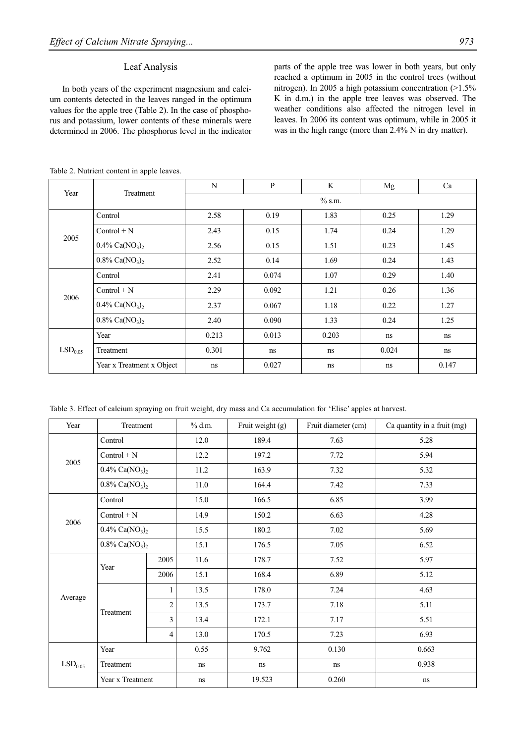# Leaf Analysis

In both years of the experiment magnesium and calcium contents detected in the leaves ranged in the optimum values for the apple tree (Table 2). In the case of phosphorus and potassium, lower contents of these minerals were determined in 2006. The phosphorus level in the indicator parts of the apple tree was lower in both years, but only reached a optimum in 2005 in the control trees (without nitrogen). In 2005 a high potassium concentration (>1.5% K in d.m.) in the apple tree leaves was observed. The weather conditions also affected the nitrogen level in leaves. In 2006 its content was optimum, while in 2005 it was in the high range (more than 2.4% N in dry matter).

| Year                | Treatment                                 | N         | P     | K     | Mg    | Ca    |  |  |
|---------------------|-------------------------------------------|-----------|-------|-------|-------|-------|--|--|
|                     |                                           | $\%$ s.m. |       |       |       |       |  |  |
| 2005                | Control                                   | 2.58      | 0.19  | 1.83  | 0.25  | 1.29  |  |  |
|                     | $Control + N$                             | 2.43      | 0.15  | 1.74  | 0.24  | 1.29  |  |  |
|                     | $0.4\%$ Ca(NO <sub>3</sub> ) <sub>2</sub> | 2.56      | 0.15  | 1.51  | 0.23  | 1.45  |  |  |
|                     | $0.8\%$ Ca(NO <sub>3</sub> ) <sub>2</sub> | 2.52      | 0.14  | 1.69  | 0.24  | 1.43  |  |  |
| 2006                | Control                                   | 2.41      | 0.074 | 1.07  | 0.29  | 1.40  |  |  |
|                     | $Control + N$                             | 2.29      | 0.092 | 1.21  | 0.26  | 1.36  |  |  |
|                     | $0.4\%$ Ca(NO <sub>3</sub> ) <sub>2</sub> | 2.37      | 0.067 | 1.18  | 0.22  | 1.27  |  |  |
|                     | $0.8\%$ Ca(NO <sub>3</sub> ) <sub>2</sub> | 2.40      | 0.090 | 1.33  | 0.24  | 1.25  |  |  |
|                     | Year                                      | 0.213     | 0.013 | 0.203 | ns    | ns    |  |  |
| LSD <sub>0.05</sub> | Treatment                                 | 0.301     | ns    | ns    | 0.024 | ns    |  |  |
|                     | Year x Treatment x Object                 | ns        | 0.027 | ns    | ns    | 0.147 |  |  |

Table 2. Nutrient content in apple leaves.

| Year                                      | Treatment                                 |                                           | $%$ d.m. | Fruit weight (g) | Fruit diameter (cm) | Ca quantity in a fruit (mg) |  |
|-------------------------------------------|-------------------------------------------|-------------------------------------------|----------|------------------|---------------------|-----------------------------|--|
|                                           | Control                                   |                                           | 12.0     | 189.4            | 7.63                | 5.28                        |  |
| 2005                                      | $Control + N$                             |                                           |          | 197.2            | 7.72                | 5.94                        |  |
|                                           |                                           | $0.4\%$ Ca(NO <sub>3</sub> ) <sub>2</sub> |          | 163.9            | 7.32                | 5.32                        |  |
|                                           | $0.8\%$ Ca(NO <sub>3</sub> ) <sub>2</sub> |                                           | 11.0     | 164.4            | 7.42                | 7.33                        |  |
|                                           | Control                                   |                                           | 15.0     | 166.5            | 6.85                | 3.99                        |  |
| 2006                                      | $Control + N$                             |                                           | 14.9     | 150.2            | 6.63                | 4.28                        |  |
|                                           | $0.4\%$ Ca(NO <sub>3</sub> ) <sub>2</sub> |                                           | 15.5     | 180.2            | 7.02                | 5.69                        |  |
| $0.8\%$ Ca(NO <sub>3</sub> ) <sub>2</sub> |                                           |                                           | 15.1     | 176.5            | 7.05                | 6.52                        |  |
| Average                                   | Year                                      | 2005                                      | 11.6     | 178.7            | 7.52                | 5.97                        |  |
|                                           |                                           | 2006                                      | 15.1     | 168.4            | 6.89                | 5.12                        |  |
|                                           | Treatment                                 | $\mathbf{1}$                              | 13.5     | 178.0<br>7.24    |                     | 4.63                        |  |
|                                           |                                           | $\overline{2}$                            | 13.5     | 173.7            | 7.18                | 5.11                        |  |
|                                           |                                           | 3                                         | 13.4     | 172.1            | 7.17                | 5.51                        |  |
|                                           |                                           | $\overline{4}$                            | 13.0     | 170.5            | 7.23                | 6.93                        |  |
|                                           | Year                                      |                                           | 0.55     | 9.762            | 0.130               | 0.663                       |  |
| LSD <sub>0.05</sub>                       | Treatment                                 |                                           | ns       | ns               | ns                  | 0.938                       |  |
|                                           | Year x Treatment                          |                                           | ns       | 19.523           | 0.260               | $\rm ns$                    |  |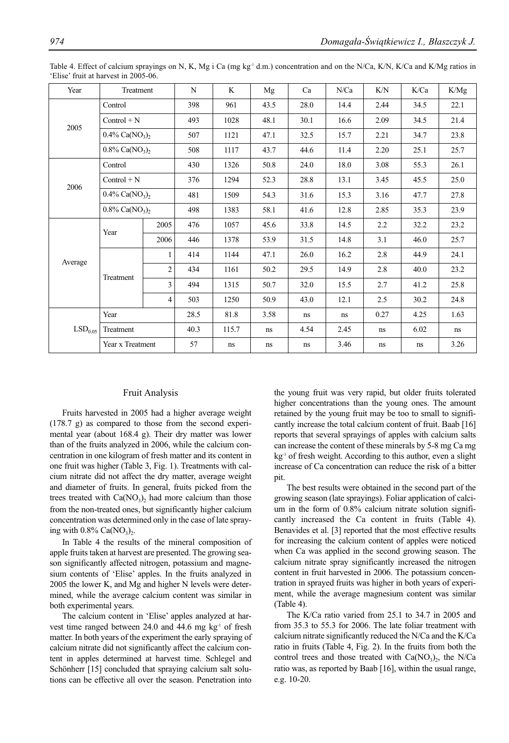| Year                | Treatment                                 |                | N    | K     | Mg   | Ca   | N/Ca | K/N  | K/Ca | K/Mg |
|---------------------|-------------------------------------------|----------------|------|-------|------|------|------|------|------|------|
|                     | Control                                   |                |      | 961   | 43.5 | 28.0 | 14.4 | 2.44 | 34.5 | 22.1 |
| 2005                | $Control + N$                             |                |      | 1028  | 48.1 | 30.1 | 16.6 | 2.09 | 34.5 | 21.4 |
|                     | $0.4\%$ Ca(NO <sub>3</sub> ) <sub>2</sub> |                | 507  | 1121  | 47.1 | 32.5 | 15.7 | 2.21 | 34.7 | 23.8 |
|                     | $0.8\%$ Ca(NO <sub>3</sub> ) <sub>2</sub> |                | 508  | 1117  | 43.7 | 44.6 | 11.4 | 2.20 | 25.1 | 25.7 |
|                     | Control                                   |                | 430  | 1326  | 50.8 | 24.0 | 18.0 | 3.08 | 55.3 | 26.1 |
| 2006                | $Control + N$                             |                | 376  | 1294  | 52.3 | 28.8 | 13.1 | 3.45 | 45.5 | 25.0 |
|                     | $0.4\%$ Ca(NO <sub>3</sub> ) <sub>2</sub> |                | 481  | 1509  | 54.3 | 31.6 | 15.3 | 3.16 | 47.7 | 27.8 |
|                     | $0.8\%$ Ca(NO <sub>3</sub> ) <sub>2</sub> |                | 498  | 1383  | 58.1 | 41.6 | 12.8 | 2.85 | 35.3 | 23.9 |
|                     | Year                                      | 2005           | 476  | 1057  | 45.6 | 33.8 | 14.5 | 2.2  | 32.2 | 23.2 |
|                     |                                           | 2006           | 446  | 1378  | 53.9 | 31.5 | 14.8 | 3.1  | 46.0 | 25.7 |
|                     |                                           | $\mathbf{1}$   | 414  | 1144  | 47.1 | 26.0 | 16.2 | 2.8  | 44.9 | 24.1 |
| Average             | Treatment                                 | $\overline{c}$ | 434  | 1161  | 50.2 | 29.5 | 14.9 | 2.8  | 40.0 | 23.2 |
|                     |                                           | 3              | 494  | 1315  | 50.7 | 32.0 | 15.5 | 2.7  | 41.2 | 25.8 |
|                     |                                           | $\overline{4}$ | 503  | 1250  | 50.9 | 43.0 | 12.1 | 2.5  | 30.2 | 24.8 |
|                     | Year                                      |                | 28.5 | 81.8  | 3.58 | ns   | ns   | 0.27 | 4.25 | 1.63 |
| LSD <sub>0.05</sub> | Treatment                                 |                | 40.3 | 115.7 | ns   | 4.54 | 2.45 | ns   | 6.02 | ns   |
|                     | Year x Treatment                          |                | 57   | ns    | ns   | ns   | 3.46 | ns   | ns   | 3.26 |

Table 4. Effect of calcium sprayings on N, K, Mg i Ca (mg kg<sup>-1</sup> d.m.) concentration and on the N/Ca, K/N, K/Ca and K/Mg ratios in 'Elise' fruit at harvest in 2005-06.

# Fruit Analysis

Fruits harvested in 2005 had a higher average weight (178.7 g) as compared to those from the second experimental year (about 168.4 g). Their dry matter was lower than of the fruits analyzed in 2006, while the calcium concentration in one kilogram of fresh matter and its content in one fruit was higher (Table 3, Fig. 1). Treatments with calcium nitrate did not affect the dry matter, average weight and diameter of fruits. In general, fruits picked from the trees treated with  $Ca(NO<sub>3</sub>)<sub>2</sub>$  had more calcium than those from the non-treated ones, but significantly higher calcium concentration was determined only in the case of late spraying with  $0.8\%$  Ca(NO<sub>3</sub>)<sub>2</sub>.

In Table 4 the results of the mineral composition of apple fruits taken at harvest are presented. The growing season significantly affected nitrogen, potassium and magnesium contents of 'Elise' apples. In the fruits analyzed in 2005 the lower K, and Mg and higher N levels were determined, while the average calcium content was similar in both experimental years.

The calcium content in 'Elise' apples analyzed at harvest time ranged between 24.0 and 44.6 mg  $kg<sup>-1</sup>$  of fresh matter. In both years of the experiment the early spraying of calcium nitrate did not significantly affect the calcium content in apples determined at harvest time. Schlegel and Schönherr [15] concluded that spraying calcium salt solutions can be effective all over the season. Penetration into

the young fruit was very rapid, but older fruits tolerated higher concentrations than the young ones. The amount retained by the young fruit may be too to small to significantly increase the total calcium content of fruit. Baab [16] reports that several sprayings of apples with calcium salts can increase the content of these minerals by 5-8 mg Ca mg kg<sup>-1</sup> of fresh weight. According to this author, even a slight increase of Ca concentration can reduce the risk of a bitter pit.

The best results were obtained in the second part of the growing season (late sprayings). Foliar application of calcium in the form of 0.8% calcium nitrate solution significantly increased the Ca content in fruits (Table 4). Benavides et al. [3] reported that the most effective results for increasing the calcium content of apples were noticed when Ca was applied in the second growing season. The calcium nitrate spray significantly increased the nitrogen content in fruit harvested in 2006. The potassium concentration in sprayed fruits was higher in both years of experiment, while the average magnesium content was similar (Table 4).

The K/Ca ratio varied from 25.1 to 34.7 in 2005 and from 35.3 to 55.3 for 2006. The late foliar treatment with calcium nitrate significantly reduced the N/Ca and the K/Ca ratio in fruits (Table 4, Fig. 2). In the fruits from both the control trees and those treated with  $Ca(NO<sub>3</sub>)<sub>2</sub>$ , the N/Ca ratio was, as reported by Baab [16], within the usual range, e.g. 10-20.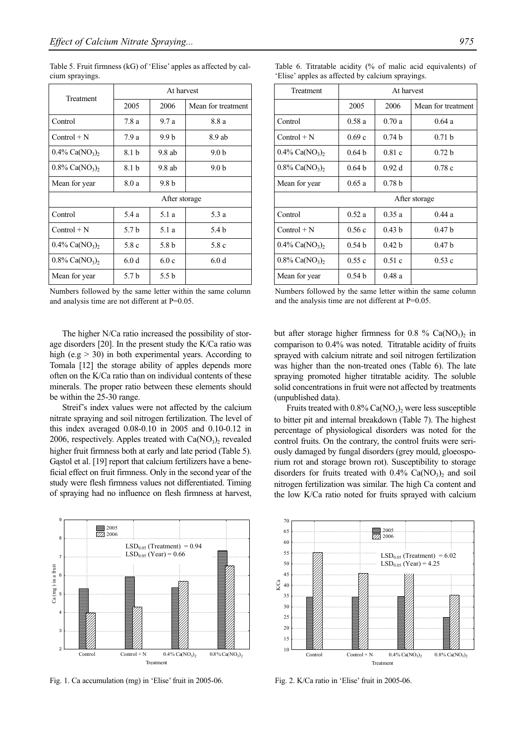Table 5. Fruit firmness (kG) of 'Elise' apples as affected by calcium sprayings.

| Treatment                                 | At harvest     |                  |                    |  |  |  |
|-------------------------------------------|----------------|------------------|--------------------|--|--|--|
|                                           | 2005           | 2006             | Mean for treatment |  |  |  |
| Control                                   | 7.8 a          | 9.7a             | 8.8 a              |  |  |  |
| $Control + N$                             | 7.9 a          | 9.9 <sub>b</sub> | 8.9 ab             |  |  |  |
| $0.4\%$ Ca(NO <sub>3</sub> ) <sub>2</sub> | 8.1 b          | $9.8$ ab         | 9.0 b              |  |  |  |
| $0.8\%$ Ca(NO <sub>3</sub> ),             | 8.1 b          | $9.8$ ab         | 9.0 <sub>b</sub>   |  |  |  |
| Mean for year                             | 8.0 a<br>9.8 b |                  |                    |  |  |  |
| After storage                             |                |                  |                    |  |  |  |
| Control                                   | 5.4 a          | 5.1a             | 5.3 a              |  |  |  |
| $Control + N$                             | 5.7 b          | 5.1 a            | 5.4 b              |  |  |  |
| $0.4\%$ Ca(NO <sub>3</sub> ),<br>5.8 c    |                | 5.8 b            | 5.8 c              |  |  |  |
| $0.8\%$ Ca(NO <sub>3</sub> ) <sub>2</sub> | 6.0d           | 6.0c             | 6.0d               |  |  |  |
| Mean for year                             | 5.7 b          | 5.5 b            |                    |  |  |  |

Numbers followed by the same letter within the same column and analysis time are not different at P=0.05.

| At harvest        |                   |                    |  |  |  |  |
|-------------------|-------------------|--------------------|--|--|--|--|
| 2005              | 2006              | Mean for treatment |  |  |  |  |
| 0.58a             | 0.70a             | 0.64a              |  |  |  |  |
| 0.69c             | 0.74 <sub>b</sub> | 0.71 <sub>b</sub>  |  |  |  |  |
| 0.64 <sub>b</sub> | 0.81c             | 0.72 <sub>b</sub>  |  |  |  |  |
| 0.64 <sub>b</sub> | 0.92d             | 0.78c              |  |  |  |  |
| 0.65a             | 0.78 <sub>b</sub> |                    |  |  |  |  |
| After storage     |                   |                    |  |  |  |  |
| 0.52a             | 0.35a             | 0.44a              |  |  |  |  |
| 0.56c             | 0.43h             | 0.47 <sub>b</sub>  |  |  |  |  |
| 0.54 <sub>b</sub> | 0.42 <sub>b</sub> | 0.47 <sub>b</sub>  |  |  |  |  |
| 0.55c             | 0.51c             | 0.53c              |  |  |  |  |
| 0.54 <sub>b</sub> | 0.48a             |                    |  |  |  |  |
|                   |                   |                    |  |  |  |  |

Table 6. Titratable acidity (% of malic acid equivalents) of 'Elise' apples as affected by calcium sprayings.

Numbers followed by the same letter within the same column and the analysis time are not different at P=0.05.

The higher N/Ca ratio increased the possibility of storage disorders [20]. In the present study the K/Ca ratio was high (e.g  $>$  30) in both experimental years. According to Tomala [12] the storage ability of apples depends more often on the K/Ca ratio than on individual contents of these minerals. The proper ratio between these elements should be within the 25-30 range.

Streif's index values were not affected by the calcium nitrate spraying and soil nitrogen fertilization. The level of this index averaged 0.08-0.10 in 2005 and 0.10-0.12 in 2006, respectively. Apples treated with  $Ca(NO<sub>3</sub>)<sub>2</sub>$  revealed higher fruit firmness both at early and late period (Table 5). Gąstol et al. [19] report that calcium fertilizers have a beneficial effect on fruit firmness. Only in the second year of the study were flesh firmness values not differentiated. Timing of spraying had no influence on flesh firmness at harvest,



Fig. 1. Ca accumulation (mg) in 'Elise' fruit in 2005-06. Fig. 2. K/Ca ratio in 'Elise' fruit in 2005-06.

but after storage higher firmness for 0.8 % Ca(NO<sub>3</sub>), in comparison to 0.4% was noted. Titratable acidity of fruits sprayed with calcium nitrate and soil nitrogen fertilization was higher than the non-treated ones (Table 6). The late spraying promoted higher titratable acidity. The soluble solid concentrations in fruit were not affected by treatments (unpublished data).

Fruits treated with  $0.8\%$  Ca(NO<sub>3</sub>)<sub>2</sub> were less susceptible to bitter pit and internal breakdown (Table 7). The highest percentage of physiological disorders was noted for the control fruits. On the contrary, the control fruits were seriously damaged by fungal disorders (grey mould, gloeosporium rot and storage brown rot). Susceptibility to storage disorders for fruits treated with  $0.4\%$  Ca(NO<sub>3</sub>)<sub>2</sub> and soil nitrogen fertilization was similar. The high Ca content and the low K/Ca ratio noted for fruits sprayed with calcium